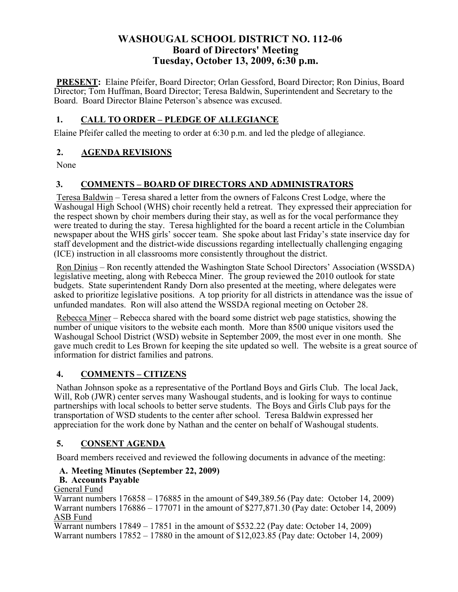## **WASHOUGAL SCHOOL DISTRICT NO. 112-06 Board of Directors' Meeting Tuesday, October 13, 2009, 6:30 p.m.**

**PRESENT:** Elaine Pfeifer, Board Director; Orlan Gessford, Board Director; Ron Dinius, Board Director; Tom Huffman, Board Director; Teresa Baldwin, Superintendent and Secretary to the Board. Board Director Blaine Peterson's absence was excused.

## **1. CALL TO ORDER – PLEDGE OF ALLEGIANCE**

Elaine Pfeifer called the meeting to order at 6:30 p.m. and led the pledge of allegiance.

#### **2. AGENDA REVISIONS**

None

## **3. COMMENTS – BOARD OF DIRECTORS AND ADMINISTRATORS**

Teresa Baldwin – Teresa shared a letter from the owners of Falcons Crest Lodge, where the Washougal High School (WHS) choir recently held a retreat. They expressed their appreciation for the respect shown by choir members during their stay, as well as for the vocal performance they were treated to during the stay. Teresa highlighted for the board a recent article in the Columbian newspaper about the WHS girls' soccer team. She spoke about last Friday's state inservice day for staff development and the district-wide discussions regarding intellectually challenging engaging (ICE) instruction in all classrooms more consistently throughout the district.

Ron Dinius – Ron recently attended the Washington State School Directors' Association (WSSDA) legislative meeting, along with Rebecca Miner. The group reviewed the 2010 outlook for state budgets. State superintendent Randy Dorn also presented at the meeting, where delegates were asked to prioritize legislative positions. A top priority for all districts in attendance was the issue of unfunded mandates. Ron will also attend the WSSDA regional meeting on October 28.

Rebecca Miner – Rebecca shared with the board some district web page statistics, showing the number of unique visitors to the website each month. More than 8500 unique visitors used the Washougal School District (WSD) website in September 2009, the most ever in one month. She gave much credit to Les Brown for keeping the site updated so well. The website is a great source of information for district families and patrons.

#### **4. COMMENTS – CITIZENS**

Nathan Johnson spoke as a representative of the Portland Boys and Girls Club. The local Jack, Will, Rob (JWR) center serves many Washougal students, and is looking for ways to continue partnerships with local schools to better serve students. The Boys and Girls Club pays for the transportation of WSD students to the center after school. Teresa Baldwin expressed her appreciation for the work done by Nathan and the center on behalf of Washougal students.

#### **5. CONSENT AGENDA**

Board members received and reviewed the following documents in advance of the meeting:

#### **A. Meeting Minutes (September 22, 2009)**

#### **B. Accounts Payable**

#### General Fund

Warrant numbers 176858 – 176885 in the amount of \$49,389.56 (Pay date: October 14, 2009) Warrant numbers 176886 – 177071 in the amount of \$277,871.30 (Pay date: October 14, 2009) ASB Fund

Warrant numbers 17849 – 17851 in the amount of \$532.22 (Pay date: October 14, 2009) Warrant numbers 17852 – 17880 in the amount of \$12,023.85 (Pay date: October 14, 2009)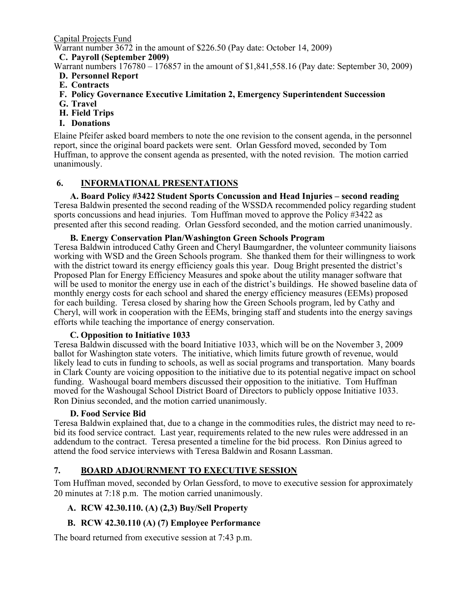Capital Projects Fund

Warrant number 3672 in the amount of \$226.50 (Pay date: October 14, 2009)

# **C. Payroll (September 2009)**

Warrant numbers 176780 – 176857 in the amount of \$1,841,558.16 (Pay date: September 30, 2009)

- **D. Personnel Report**
- **E. Contracts**
- **F. Policy Governance Executive Limitation 2, Emergency Superintendent Succession**
- **G. Travel**
- **H. Field Trips**
- **I. Donations**

Elaine Pfeifer asked board members to note the one revision to the consent agenda, in the personnel report, since the original board packets were sent. Orlan Gessford moved, seconded by Tom Huffman, to approve the consent agenda as presented, with the noted revision. The motion carried unanimously.

#### **6. INFORMATIONAL PRESENTATIONS**

#### **A. Board Policy #3422 Student Sports Concussion and Head Injuries – second reading**

Teresa Baldwin presented the second reading of the WSSDA recommended policy regarding student sports concussions and head injuries. Tom Huffman moved to approve the Policy #3422 as presented after this second reading. Orlan Gessford seconded, and the motion carried unanimously.

#### **B. Energy Conservation Plan/Washington Green Schools Program**

Teresa Baldwin introduced Cathy Green and Cheryl Baumgardner, the volunteer community liaisons working with WSD and the Green Schools program. She thanked them for their willingness to work with the district toward its energy efficiency goals this year. Doug Bright presented the district's Proposed Plan for Energy Efficiency Measures and spoke about the utility manager software that will be used to monitor the energy use in each of the district's buildings. He showed baseline data of monthly energy costs for each school and shared the energy efficiency measures (EEMs) proposed for each building. Teresa closed by sharing how the Green Schools program, led by Cathy and Cheryl, will work in cooperation with the EEMs, bringing staff and students into the energy savings efforts while teaching the importance of energy conservation.

#### **C. Opposition to Initiative 1033**

Teresa Baldwin discussed with the board Initiative 1033, which will be on the November 3, 2009 ballot for Washington state voters. The initiative, which limits future growth of revenue, would likely lead to cuts in funding to schools, as well as social programs and transportation. Many boards in Clark County are voicing opposition to the initiative due to its potential negative impact on school funding. Washougal board members discussed their opposition to the initiative. Tom Huffman moved for the Washougal School District Board of Directors to publicly oppose Initiative 1033. Ron Dinius seconded, and the motion carried unanimously.

#### **D. Food Service Bid**

Teresa Baldwin explained that, due to a change in the commodities rules, the district may need to rebid its food service contract. Last year, requirements related to the new rules were addressed in an addendum to the contract. Teresa presented a timeline for the bid process. Ron Dinius agreed to attend the food service interviews with Teresa Baldwin and Rosann Lassman.

## **7. BOARD ADJOURNMENT TO EXECUTIVE SESSION**

Tom Huffman moved, seconded by Orlan Gessford, to move to executive session for approximately 20 minutes at 7:18 p.m. The motion carried unanimously.

## **A. RCW 42.30.110. (A) (2,3) Buy/Sell Property**

## **B. RCW 42.30.110 (A) (7) Employee Performance**

The board returned from executive session at 7:43 p.m.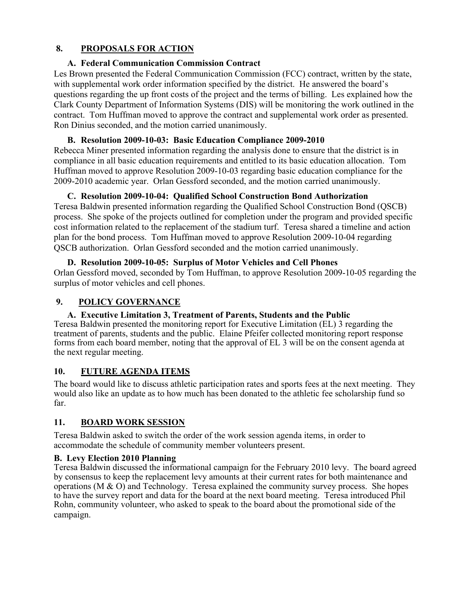## **8. PROPOSALS FOR ACTION**

## **A. Federal Communication Commission Contract**

Les Brown presented the Federal Communication Commission (FCC) contract, written by the state, with supplemental work order information specified by the district. He answered the board's questions regarding the up front costs of the project and the terms of billing. Les explained how the Clark County Department of Information Systems (DIS) will be monitoring the work outlined in the contract. Tom Huffman moved to approve the contract and supplemental work order as presented. Ron Dinius seconded, and the motion carried unanimously.

#### **B. Resolution 2009-10-03: Basic Education Compliance 2009-2010**

Rebecca Miner presented information regarding the analysis done to ensure that the district is in compliance in all basic education requirements and entitled to its basic education allocation. Tom Huffman moved to approve Resolution 2009-10-03 regarding basic education compliance for the 2009-2010 academic year. Orlan Gessford seconded, and the motion carried unanimously.

#### **C. Resolution 2009-10-04: Qualified School Construction Bond Authorization**

Teresa Baldwin presented information regarding the Qualified School Construction Bond (QSCB) process. She spoke of the projects outlined for completion under the program and provided specific cost information related to the replacement of the stadium turf. Teresa shared a timeline and action plan for the bond process. Tom Huffman moved to approve Resolution 2009-10-04 regarding QSCB authorization. Orlan Gessford seconded and the motion carried unanimously.

#### **D. Resolution 2009-10-05: Surplus of Motor Vehicles and Cell Phones** Orlan Gessford moved, seconded by Tom Huffman, to approve Resolution 2009-10-05 regarding the surplus of motor vehicles and cell phones.

# **9. POLICY GOVERNANCE**

## **A. Executive Limitation 3, Treatment of Parents, Students and the Public**

Teresa Baldwin presented the monitoring report for Executive Limitation (EL) 3 regarding the treatment of parents, students and the public. Elaine Pfeifer collected monitoring report response forms from each board member, noting that the approval of EL 3 will be on the consent agenda at the next regular meeting.

## **10. FUTURE AGENDA ITEMS**

The board would like to discuss athletic participation rates and sports fees at the next meeting. They would also like an update as to how much has been donated to the athletic fee scholarship fund so far.

## **11. BOARD WORK SESSION**

Teresa Baldwin asked to switch the order of the work session agenda items, in order to accommodate the schedule of community member volunteers present.

## **B. Levy Election 2010 Planning**

Teresa Baldwin discussed the informational campaign for the February 2010 levy. The board agreed by consensus to keep the replacement levy amounts at their current rates for both maintenance and operations (M  $\&$  O) and Technology. Teresa explained the community survey process. She hopes to have the survey report and data for the board at the next board meeting. Teresa introduced Phil Rohn, community volunteer, who asked to speak to the board about the promotional side of the campaign.